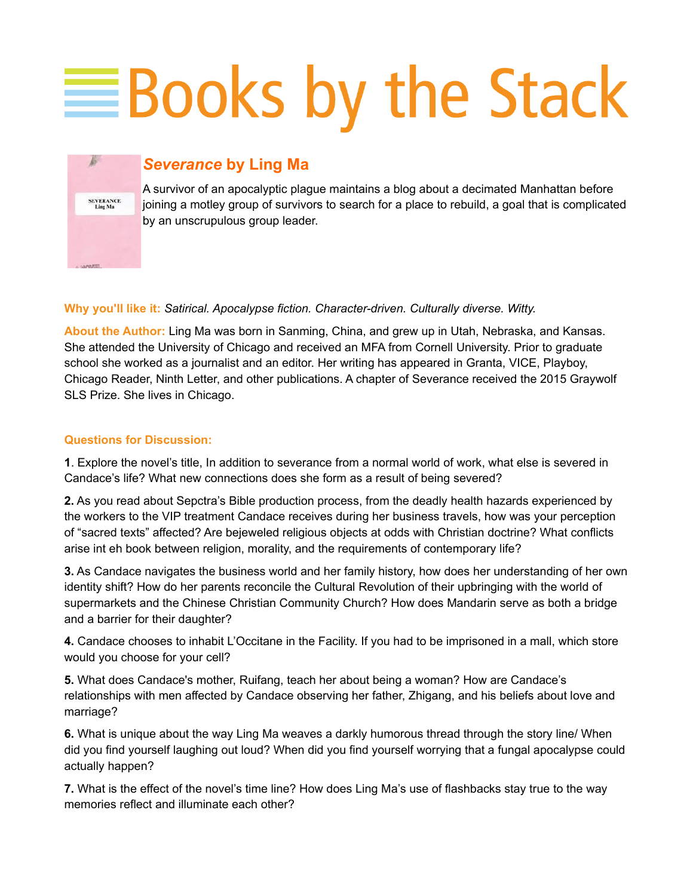## **EBooks by the Stack**



## *Severance* **by Ling Ma**

A survivor of an apocalyptic plague maintains a blog about a decimated Manhattan before joining a motley group of survivors to search for a place to rebuild, a goal that is complicated by an unscrupulous group leader.

## **Why you'll like it:** *Satirical. Apocalypse fiction. Character-driven. Culturally diverse. Witty.*

**About the Author:** Ling Ma was born in Sanming, China, and grew up in Utah, Nebraska, and Kansas. She attended the University of Chicago and received an MFA from Cornell University. Prior to graduate school she worked as a journalist and an editor. Her writing has appeared in Granta, VICE, Playboy, Chicago Reader, Ninth Letter, and other publications. A chapter of Severance received the 2015 Graywolf SLS Prize. She lives in Chicago.

## **Questions for Discussion:**

**1**. Explore the novel's title, In addition to severance from a normal world of work, what else is severed in Candace's life? What new connections does she form as a result of being severed?

**2.** As you read about Sepctra's Bible production process, from the deadly health hazards experienced by the workers to the VIP treatment Candace receives during her business travels, how was your perception of "sacred texts" affected? Are bejeweled religious objects at odds with Christian doctrine? What conflicts arise int eh book between religion, morality, and the requirements of contemporary life?

**3.** As Candace navigates the business world and her family history, how does her understanding of her own identity shift? How do her parents reconcile the Cultural Revolution of their upbringing with the world of supermarkets and the Chinese Christian Community Church? How does Mandarin serve as both a bridge and a barrier for their daughter?

**4.** Candace chooses to inhabit L'Occitane in the Facility. If you had to be imprisoned in a mall, which store would you choose for your cell?

**5.** What does Candace's mother, Ruifang, teach her about being a woman? How are Candace's relationships with men affected by Candace observing her father, Zhigang, and his beliefs about love and marriage?

**6.** What is unique about the way Ling Ma weaves a darkly humorous thread through the story line/ When did you find yourself laughing out loud? When did you find yourself worrying that a fungal apocalypse could actually happen?

**7.** What is the effect of the novel's time line? How does Ling Ma's use of flashbacks stay true to the way memories reflect and illuminate each other?